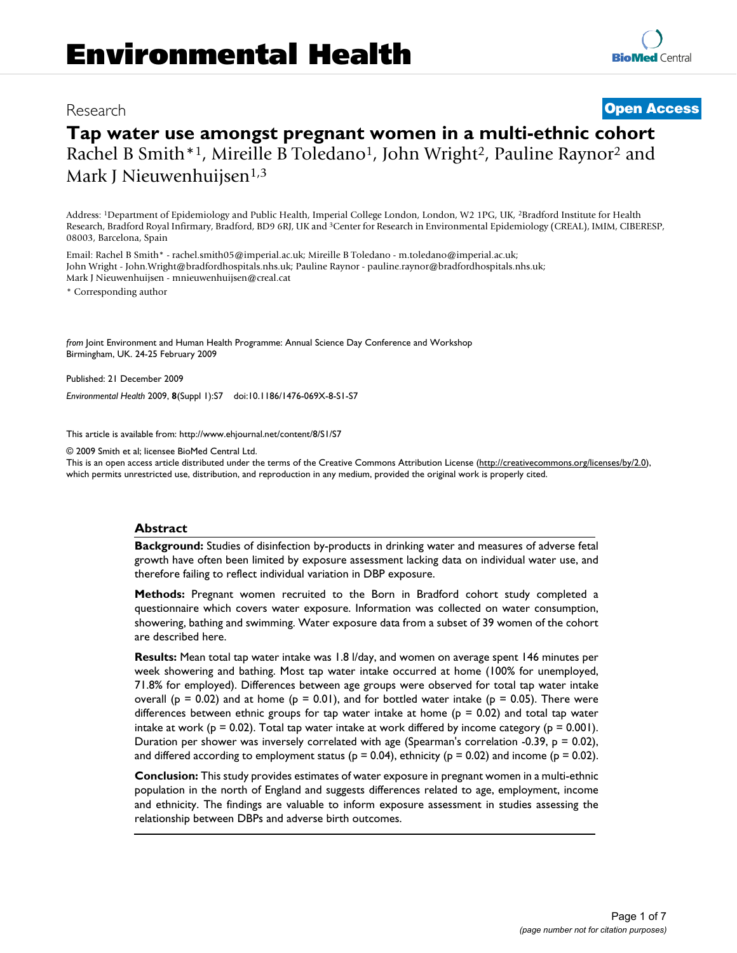## Research **[Open Access](http://www.biomedcentral.com/info/about/charter/)**

# **Tap water use amongst pregnant women in a multi-ethnic cohort** Rachel B Smith\*<sup>1</sup>, Mireille B Toledano<sup>1</sup>, John Wright<sup>2</sup>, Pauline Raynor<sup>2</sup> and Mark J Nieuwenhuijsen<sup>1,3</sup>

Address: 1Department of Epidemiology and Public Health, Imperial College London, London, W2 1PG, UK, 2Bradford Institute for Health Research, Bradford Royal Infirmary, Bradford, BD9 6RJ, UK and 3Center for Research in Environmental Epidemiology (CREAL), IMIM, CIBERESP, 08003, Barcelona, Spain

Email: Rachel B Smith\* - rachel.smith05@imperial.ac.uk; Mireille B Toledano - m.toledano@imperial.ac.uk; John Wright - John.Wright@bradfordhospitals.nhs.uk; Pauline Raynor - pauline.raynor@bradfordhospitals.nhs.uk; Mark J Nieuwenhuijsen - mnieuwenhuijsen@creal.cat

\* Corresponding author

*from* Joint Environment and Human Health Programme: Annual Science Day Conference and Workshop Birmingham, UK. 24-25 February 2009

Published: 21 December 2009

*Environmental Health* 2009, **8**(Suppl 1):S7 doi:10.1186/1476-069X-8-S1-S7

[This article is available from: http://www.ehjournal.net/content/8/S1/S7](http://www.ehjournal.net/content/8/S1/S7)

© 2009 Smith et al; licensee BioMed Central Ltd.

This is an open access article distributed under the terms of the Creative Commons Attribution License [\(http://creativecommons.org/licenses/by/2.0\)](http://creativecommons.org/licenses/by/2.0), which permits unrestricted use, distribution, and reproduction in any medium, provided the original work is properly cited.

#### **Abstract**

**Background:** Studies of disinfection by-products in drinking water and measures of adverse fetal growth have often been limited by exposure assessment lacking data on individual water use, and therefore failing to reflect individual variation in DBP exposure.

**Methods:** Pregnant women recruited to the Born in Bradford cohort study completed a questionnaire which covers water exposure. Information was collected on water consumption, showering, bathing and swimming. Water exposure data from a subset of 39 women of the cohort are described here.

**Results:** Mean total tap water intake was 1.8 l/day, and women on average spent 146 minutes per week showering and bathing. Most tap water intake occurred at home (100% for unemployed, 71.8% for employed). Differences between age groups were observed for total tap water intake overall ( $p = 0.02$ ) and at home ( $p = 0.01$ ), and for bottled water intake ( $p = 0.05$ ). There were differences between ethnic groups for tap water intake at home ( $p = 0.02$ ) and total tap water intake at work ( $p = 0.02$ ). Total tap water intake at work differed by income category ( $p = 0.001$ ). Duration per shower was inversely correlated with age (Spearman's correlation -0.39,  $p = 0.02$ ), and differed according to employment status ( $p = 0.04$ ), ethnicity ( $p = 0.02$ ) and income ( $p = 0.02$ ).

**Conclusion:** This study provides estimates of water exposure in pregnant women in a multi-ethnic population in the north of England and suggests differences related to age, employment, income and ethnicity. The findings are valuable to inform exposure assessment in studies assessing the relationship between DBPs and adverse birth outcomes.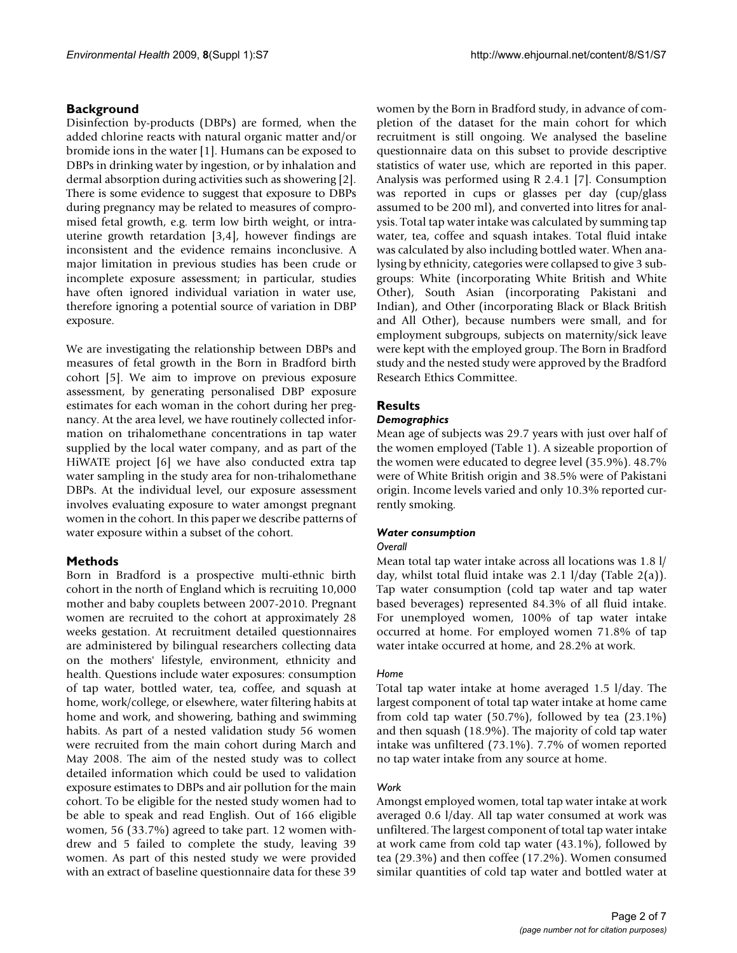## **Background**

Disinfection by-products (DBPs) are formed, when the added chlorine reacts with natural organic matter and/or bromide ions in the water [1]. Humans can be exposed to DBPs in drinking water by ingestion, or by inhalation and dermal absorption during activities such as showering [2]. There is some evidence to suggest that exposure to DBPs during pregnancy may be related to measures of compromised fetal growth, e.g. term low birth weight, or intrauterine growth retardation [3,4], however findings are inconsistent and the evidence remains inconclusive. A major limitation in previous studies has been crude or incomplete exposure assessment; in particular, studies have often ignored individual variation in water use, therefore ignoring a potential source of variation in DBP exposure.

We are investigating the relationship between DBPs and measures of fetal growth in the Born in Bradford birth cohort [5]. We aim to improve on previous exposure assessment, by generating personalised DBP exposure estimates for each woman in the cohort during her pregnancy. At the area level, we have routinely collected information on trihalomethane concentrations in tap water supplied by the local water company, and as part of the HiWATE project [6] we have also conducted extra tap water sampling in the study area for non-trihalomethane DBPs. At the individual level, our exposure assessment involves evaluating exposure to water amongst pregnant women in the cohort. In this paper we describe patterns of water exposure within a subset of the cohort.

#### **Methods**

Born in Bradford is a prospective multi-ethnic birth cohort in the north of England which is recruiting 10,000 mother and baby couplets between 2007-2010. Pregnant women are recruited to the cohort at approximately 28 weeks gestation. At recruitment detailed questionnaires are administered by bilingual researchers collecting data on the mothers' lifestyle, environment, ethnicity and health. Questions include water exposures: consumption of tap water, bottled water, tea, coffee, and squash at home, work/college, or elsewhere, water filtering habits at home and work, and showering, bathing and swimming habits. As part of a nested validation study 56 women were recruited from the main cohort during March and May 2008. The aim of the nested study was to collect detailed information which could be used to validation exposure estimates to DBPs and air pollution for the main cohort. To be eligible for the nested study women had to be able to speak and read English. Out of 166 eligible women, 56 (33.7%) agreed to take part. 12 women withdrew and 5 failed to complete the study, leaving 39 women. As part of this nested study we were provided with an extract of baseline questionnaire data for these 39

women by the Born in Bradford study, in advance of completion of the dataset for the main cohort for which recruitment is still ongoing. We analysed the baseline questionnaire data on this subset to provide descriptive statistics of water use, which are reported in this paper. Analysis was performed using R 2.4.1 [7]. Consumption was reported in cups or glasses per day (cup/glass assumed to be 200 ml), and converted into litres for analysis. Total tap water intake was calculated by summing tap water, tea, coffee and squash intakes. Total fluid intake was calculated by also including bottled water. When analysing by ethnicity, categories were collapsed to give 3 subgroups: White (incorporating White British and White Other), South Asian (incorporating Pakistani and Indian), and Other (incorporating Black or Black British and All Other), because numbers were small, and for employment subgroups, subjects on maternity/sick leave were kept with the employed group. The Born in Bradford study and the nested study were approved by the Bradford Research Ethics Committee.

## **Results**

## *Demographics*

Mean age of subjects was 29.7 years with just over half of the women employed (Table 1). A sizeable proportion of the women were educated to degree level (35.9%). 48.7% were of White British origin and 38.5% were of Pakistani origin. Income levels varied and only 10.3% reported currently smoking.

#### *Water consumption*

#### *Overall*

Mean total tap water intake across all locations was 1.8 l/ day, whilst total fluid intake was 2.1 l/day (Table 2(a)). Tap water consumption (cold tap water and tap water based beverages) represented 84.3% of all fluid intake. For unemployed women, 100% of tap water intake occurred at home. For employed women 71.8% of tap water intake occurred at home, and 28.2% at work.

#### *Home*

Total tap water intake at home averaged 1.5 l/day. The largest component of total tap water intake at home came from cold tap water (50.7%), followed by tea (23.1%) and then squash (18.9%). The majority of cold tap water intake was unfiltered (73.1%). 7.7% of women reported no tap water intake from any source at home.

#### *Work*

Amongst employed women, total tap water intake at work averaged 0.6 l/day. All tap water consumed at work was unfiltered. The largest component of total tap water intake at work came from cold tap water (43.1%), followed by tea (29.3%) and then coffee (17.2%). Women consumed similar quantities of cold tap water and bottled water at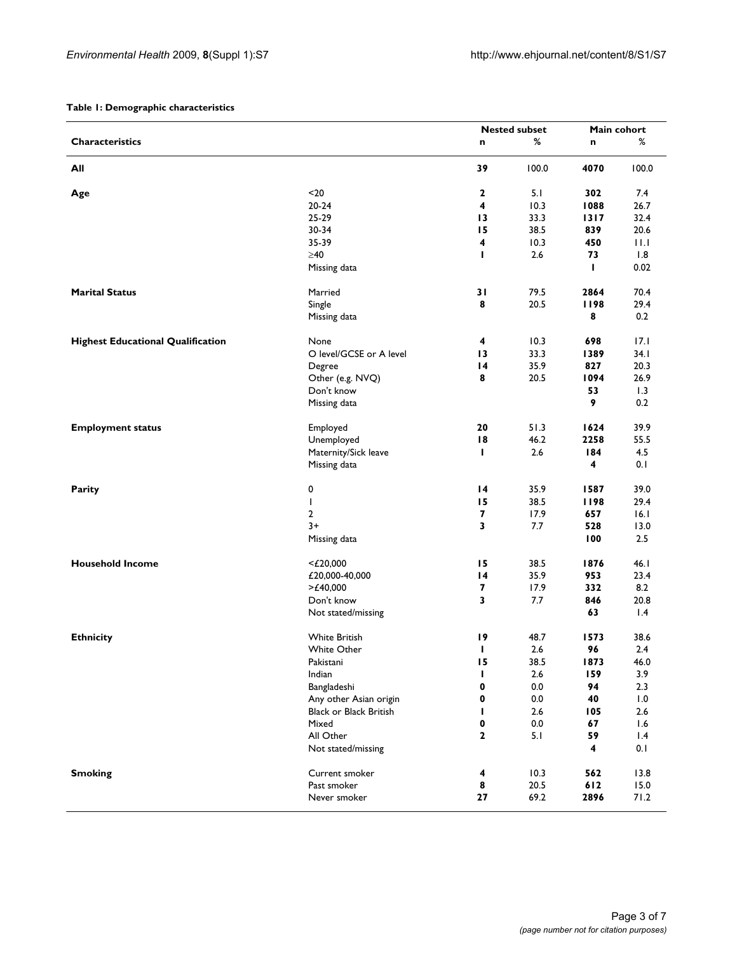#### **Table 1: Demographic characteristics**

|                                          |                         | <b>Nested subset</b>    |       | Main cohort |       |  |
|------------------------------------------|-------------------------|-------------------------|-------|-------------|-------|--|
| <b>Characteristics</b>                   |                         | n                       | %     | n           | %     |  |
| All                                      |                         | 39                      | 100.0 | 4070        | 100.0 |  |
| Age                                      | $20$                    | $\mathbf{2}$            | 5.1   | 302         | 7.4   |  |
|                                          | $20 - 24$               | $\overline{\mathbf{4}}$ | 10.3  | 1088        | 26.7  |  |
|                                          | 25-29                   | $\overline{13}$         | 33.3  | 1317        | 32.4  |  |
|                                          | 30-34                   | 15                      | 38.5  | 839         | 20.6  |  |
|                                          | 35-39                   | 4                       | 10.3  | 450         | 11.1  |  |
|                                          | $\geq$ 40               | T                       | 2.6   | 73          | 1.8   |  |
|                                          | Missing data            |                         |       | H           | 0.02  |  |
| <b>Marital Status</b>                    | Married                 | 31                      | 79.5  | 2864        | 70.4  |  |
|                                          | Single                  | 8                       | 20.5  | 1198        | 29.4  |  |
|                                          | Missing data            |                         |       | 8           | 0.2   |  |
| <b>Highest Educational Qualification</b> | None                    | 4                       | 10.3  | 698         | 17.1  |  |
|                                          | O level/GCSE or A level | $\overline{13}$         | 33.3  | 1389        | 34.1  |  |
|                                          | Degree                  | $\overline{14}$         | 35.9  | 827         | 20.3  |  |
|                                          | Other (e.g. NVQ)        | 8                       | 20.5  | 1094        | 26.9  |  |
|                                          | Don't know              |                         |       | 53          | 1.3   |  |
|                                          | Missing data            |                         |       | 9           | 0.2   |  |
| <b>Employment status</b>                 | Employed                | 20                      | 51.3  | 1624        | 39.9  |  |
|                                          | Unemployed              | 18                      | 46.2  | 2258        | 55.5  |  |
|                                          | Maternity/Sick leave    | J.                      | 2.6   | 184         | 4.5   |  |
|                                          | Missing data            |                         |       | 4           | 0.1   |  |
| Parity                                   | 0                       | $\overline{14}$         | 35.9  | 1587        | 39.0  |  |
|                                          | $\mathbf{I}$            | 15                      | 38.5  | 1198        | 29.4  |  |
|                                          | $\overline{\mathbf{c}}$ | $\overline{\mathbf{z}}$ | 17.9  | 657         | 16.1  |  |
|                                          | $3+$                    | 3                       | 7.7   | 528         | 13.0  |  |
|                                          | Missing data            |                         |       | 100         | 2.5   |  |
| <b>Household Income</b>                  | $<$ £20,000             | 15                      | 38.5  | 1876        | 46. I |  |
|                                          | £20,000-40,000          | 14                      | 35.9  | 953         | 23.4  |  |
|                                          | >E40,000                | 7                       | 17.9  | 332         | 8.2   |  |
|                                          | Don't know              | 3                       | 7.7   | 846         | 20.8  |  |
|                                          | Not stated/missing      |                         |       | 63          | 1.4   |  |
| <b>Ethnicity</b>                         | <b>White British</b>    | 19                      | 48.7  | 1573        | 38.6  |  |
|                                          | <b>White Other</b>      | J.                      | 2.6   | 96          | 2.4   |  |
|                                          | Pakistani               | 15                      | 38.5  | 1873        | 46.0  |  |
|                                          | Indian                  | L                       | 2.6   | 159         | 3.9   |  |
|                                          | Bangladeshi             | $\mathbf 0$             | 0.0   | 94          | 2.3   |  |
|                                          | Any other Asian origin  | $\bf{0}$                | 0.0   | 40          | 1.0   |  |
|                                          | Black or Black British  | L.                      | 2.6   | 105         | 2.6   |  |
|                                          | Mixed                   | 0                       | 0.0   | 67          | 1.6   |  |
|                                          | All Other               | $\mathbf{2}$            | 5.1   | 59          | 1.4   |  |
|                                          | Not stated/missing      |                         |       | 4           | 0.1   |  |
| <b>Smoking</b>                           | Current smoker          | $\overline{\mathbf{4}}$ | 10.3  | 562         | 13.8  |  |
|                                          | Past smoker             | 8                       | 20.5  | 612         | 15.0  |  |
|                                          | Never smoker            | 27                      | 69.2  | 2896        | 71.2  |  |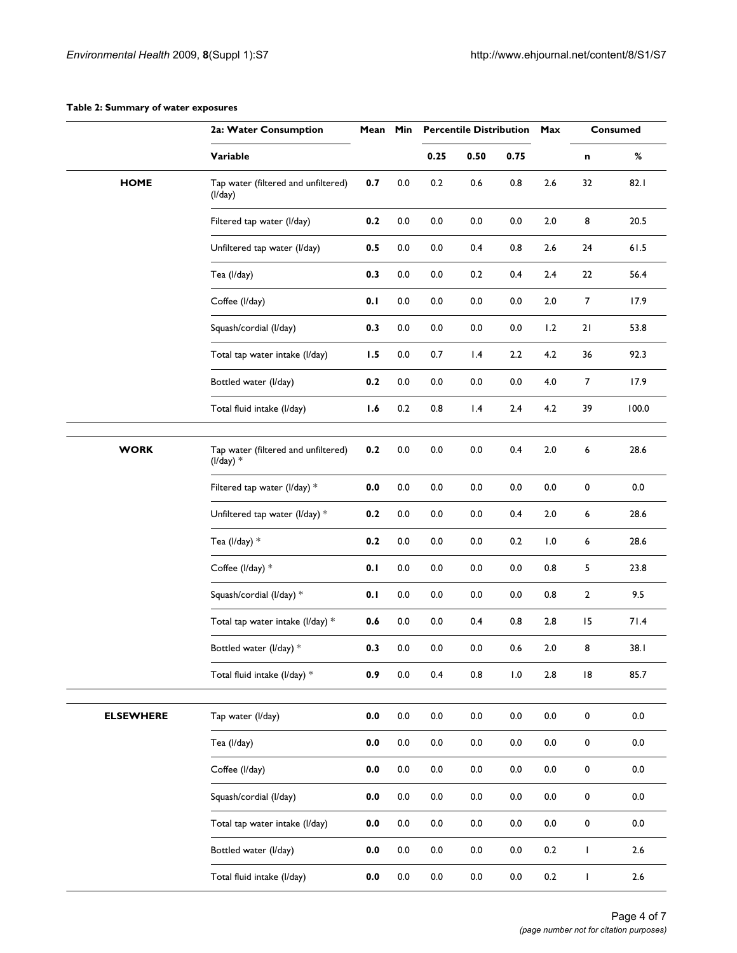|                  | 2a: Water Consumption                                    | Mean    | Min     | <b>Percentile Distribution</b> |         | Max     |         | Consumed           |         |
|------------------|----------------------------------------------------------|---------|---------|--------------------------------|---------|---------|---------|--------------------|---------|
|                  | Variable                                                 |         |         | 0.25                           | 0.50    | 0.75    |         | n                  | $\%$    |
| <b>HOME</b>      | Tap water (filtered and unfiltered)<br>(1/day)           | $0.7\,$ | 0.0     | $0.2\,$                        | 0.6     | $0.8\,$ | 2.6     | 32                 | 82.I    |
|                  | Filtered tap water (I/day)                               | $0.2\,$ | $0.0\,$ | $0.0\,$                        | 0.0     | $0.0\,$ | $2.0\,$ | 8                  | 20.5    |
|                  | Unfiltered tap water (I/day)                             | $0.5\,$ | 0.0     | $0.0\,$                        | 0.4     | $0.8\,$ | 2.6     | 24                 | 61.5    |
|                  | Tea (I/day)                                              | 0.3     | $0.0\,$ | $0.0\,$                        | 0.2     | 0.4     | 2.4     | 22                 | 56.4    |
|                  | Coffee (I/day)                                           | 0.1     | 0.0     | 0.0                            | 0.0     | $0.0\,$ | 2.0     | $\overline{7}$     | 17.9    |
|                  | Squash/cordial (I/day)                                   | 0.3     | $0.0\,$ | 0.0                            | 0.0     | 0.0     | 1.2     | 21                 | 53.8    |
|                  | Total tap water intake (I/day)                           | 1.5     | $0.0\,$ | 0.7                            | 1.4     | 2.2     | 4.2     | 36                 | 92.3    |
|                  | Bottled water (I/day)                                    | $0.2\,$ | $0.0\,$ | $0.0\,$                        | 0.0     | 0.0     | 4.0     | $\overline{7}$     | 17.9    |
|                  | Total fluid intake (I/day)                               | 1.6     | $0.2\,$ | 0.8                            | 1.4     | 2.4     | 4.2     | 39                 | 100.0   |
| <b>WORK</b>      | Tap water (filtered and unfiltered)<br>$($ l/day $)$ $*$ | 0.2     | 0.0     | 0.0                            | 0.0     | 0.4     | 2.0     | 6                  | 28.6    |
|                  | Filtered tap water (I/day) *                             | $0.0\,$ | $0.0\,$ | 0.0                            | 0.0     | $0.0\,$ | 0.0     | 0                  | 0.0     |
|                  | Unfiltered tap water (I/day) *                           | 0.2     | 0.0     | 0.0                            | 0.0     | 0.4     | 2.0     | 6                  | 28.6    |
|                  | Tea ( $I/day$ ) *                                        | 0.2     | $0.0\,$ | 0.0                            | $0.0\,$ | 0.2     | 1.0     | 6                  | 28.6    |
|                  | Coffee (I/day) *                                         | 0.1     | 0.0     | 0.0                            | 0.0     | $0.0\,$ | 0.8     | 5                  | 23.8    |
|                  | Squash/cordial (I/day) *                                 | 0.1     | 0.0     | $0.0\,$                        | 0.0     | 0.0     | 0.8     | $\overline{2}$     | 9.5     |
|                  | Total tap water intake (I/day) *                         | $0.6\,$ | $0.0\,$ | $0.0\,$                        | 0.4     | $0.8\,$ | $2.8\,$ | 15                 | 71.4    |
|                  | Bottled water (I/day) *                                  | 0.3     | 0.0     | 0.0                            | 0.0     | 0.6     | 2.0     | 8                  | 38.1    |
|                  | Total fluid intake (I/day) *                             | 0.9     | $0.0\,$ | 0.4                            | $0.8\,$ | $1.0\,$ | $2.8\,$ | $\,$ l $\,$ 8 $\,$ | 85.7    |
| <b>ELSEWHERE</b> | Tap water (I/day)                                        | $0.0\,$ | $0.0\,$ | $0.0\,$                        | $0.0\,$ | 0.0     | 0.0     | 0                  | $0.0\,$ |
|                  | Tea (I/day)                                              | $0.0\,$ | $0.0\,$ | $0.0\,$                        | 0.0     | $0.0\,$ | 0.0     | $\pmb{0}$          | 0.0     |
|                  | Coffee (I/day)                                           | $0.0\,$ | $0.0\,$ | $0.0\,$                        | 0.0     | $0.0\,$ | 0.0     | 0                  | 0.0     |
|                  | Squash/cordial (I/day)                                   | $0.0\,$ | $0.0\,$ | $0.0\,$                        | 0.0     | $0.0\,$ | $0.0\,$ | 0                  | 0.0     |
|                  | Total tap water intake (I/day)                           | $0.0\,$ | $0.0\,$ | $0.0\,$                        | 0.0     | $0.0\,$ | 0.0     | $\pmb{0}$          | 0.0     |
|                  | Bottled water (I/day)                                    | $0.0\,$ | 0.0     | 0.0                            | 0.0     | 0.0     | 0.2     | $\mathbf{I}$       | 2.6     |
|                  | Total fluid intake (I/day)                               | $0.0\,$ | $0.0\,$ | $0.0\,$                        | $0.0\,$ | $0.0\,$ | 0.2     | $\mathbf{I}$       | 2.6     |

#### **Table 2: Summary of water exposures**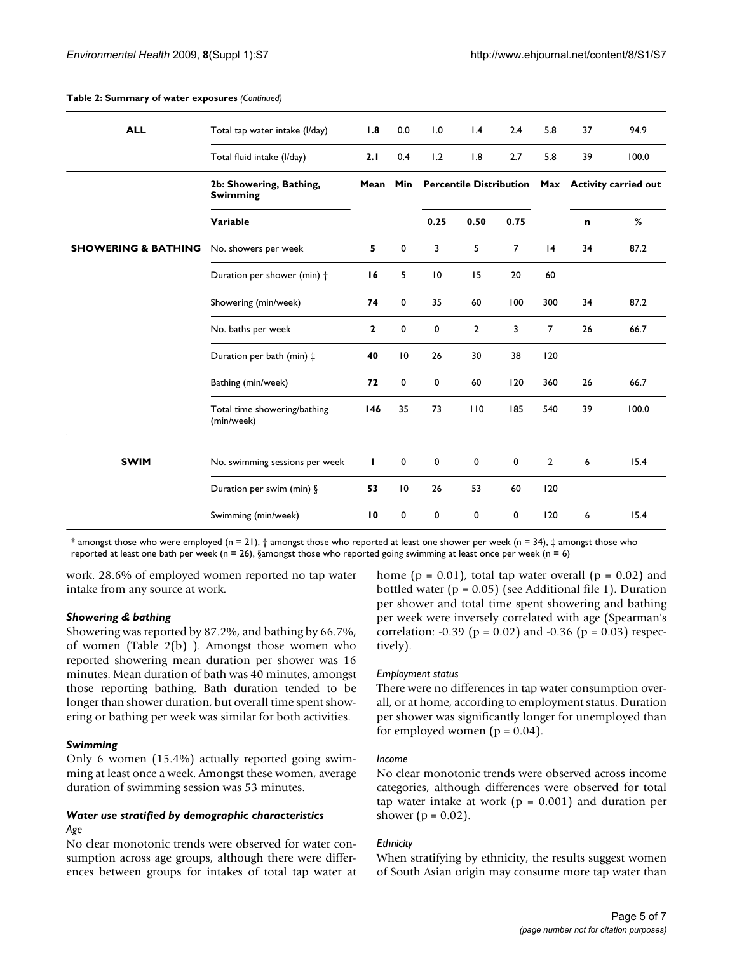| <b>ALL</b>                     | Total tap water intake (I/day)             | 1.8             | 0.0         | 1.0                            | 1.4            | 2.4                      | 5.8            | 37          | 94.9  |
|--------------------------------|--------------------------------------------|-----------------|-------------|--------------------------------|----------------|--------------------------|----------------|-------------|-------|
|                                | Total fluid intake (I/day)                 | 2.1             | 0.4         | 1.2                            | 1.8            | 2.7                      | 5.8            | 39          | 100.0 |
|                                | 2b: Showering, Bathing,<br><b>Swimming</b> | Mean            | <b>Min</b>  | <b>Percentile Distribution</b> |                | Max Activity carried out |                |             |       |
|                                | Variable                                   |                 |             | 0.25                           | 0.50           | 0.75                     |                | $\mathbf n$ | $\%$  |
| <b>SHOWERING &amp; BATHING</b> | No. showers per week                       | 5               | $\mathbf 0$ | 3                              | 5              | $\overline{7}$           | 4              | 34          | 87.2  |
|                                | Duration per shower (min) +                | 16              | 5           | $\overline{10}$                | 15             | 20                       | 60             |             |       |
|                                | Showering (min/week)                       | 74              | 0           | 35                             | 60             | 100                      | 300            | 34          | 87.2  |
|                                | No. baths per week                         | $\mathbf{2}$    | $\mathbf 0$ | 0                              | $\overline{2}$ | 3                        | $\overline{7}$ | 26          | 66.7  |
|                                | Duration per bath (min) $\ddagger$         | 40              | 10          | 26                             | 30             | 38                       | 120            |             |       |
|                                | Bathing (min/week)                         | 72              | 0           | 0                              | 60             | 120                      | 360            | 26          | 66.7  |
|                                | Total time showering/bathing<br>(min/week) | 146             | 35          | 73                             | 110            | 185                      | 540            | 39          | 100.0 |
| <b>SWIM</b>                    | No. swimming sessions per week             | T               | $\mathbf 0$ | 0                              | $\mathbf 0$    | 0                        | $\overline{2}$ | 6           | 15.4  |
|                                | Duration per swim (min) $\S$               | 53              | 10          | 26                             | 53             | 60                       | 120            |             |       |
|                                | Swimming (min/week)                        | $\overline{10}$ | $\mathbf 0$ | 0                              | $\mathbf 0$    | 0                        | 120            | 6           | 15.4  |

#### **Table 2: Summary of water exposures** *(Continued)*

 $*$  amongst those who were employed (n = 21),  $\dagger$  amongst those who reported at least one shower per week (n = 34),  $\ddagger$  amongst those who reported at least one bath per week (n = 26), §amongst those who reported going swimming at least once per week (n = 6)

work. 28.6% of employed women reported no tap water intake from any source at work.

#### *Showering & bathing*

Showering was reported by 87.2%, and bathing by 66.7%, of women (Table 2(b) ). Amongst those women who reported showering mean duration per shower was 16 minutes. Mean duration of bath was 40 minutes, amongst those reporting bathing. Bath duration tended to be longer than shower duration, but overall time spent showering or bathing per week was similar for both activities.

#### *Swimming*

Only 6 women (15.4%) actually reported going swimming at least once a week. Amongst these women, average duration of swimming session was 53 minutes.

#### *Water use stratified by demographic characteristics Age*

No clear monotonic trends were observed for water consumption across age groups, although there were differences between groups for intakes of total tap water at home ( $p = 0.01$ ), total tap water overall ( $p = 0.02$ ) and bottled water ( $p = 0.05$ ) (see Additional file 1). Duration per shower and total time spent showering and bathing per week were inversely correlated with age (Spearman's correlation: -0.39 ( $p = 0.02$ ) and -0.36 ( $p = 0.03$ ) respectively).

#### *Employment status*

There were no differences in tap water consumption overall, or at home, according to employment status. Duration per shower was significantly longer for unemployed than for employed women ( $p = 0.04$ ).

#### *Income*

No clear monotonic trends were observed across income categories, although differences were observed for total tap water intake at work ( $p = 0.001$ ) and duration per shower ( $p = 0.02$ ).

#### *Ethnicity*

When stratifying by ethnicity, the results suggest women of South Asian origin may consume more tap water than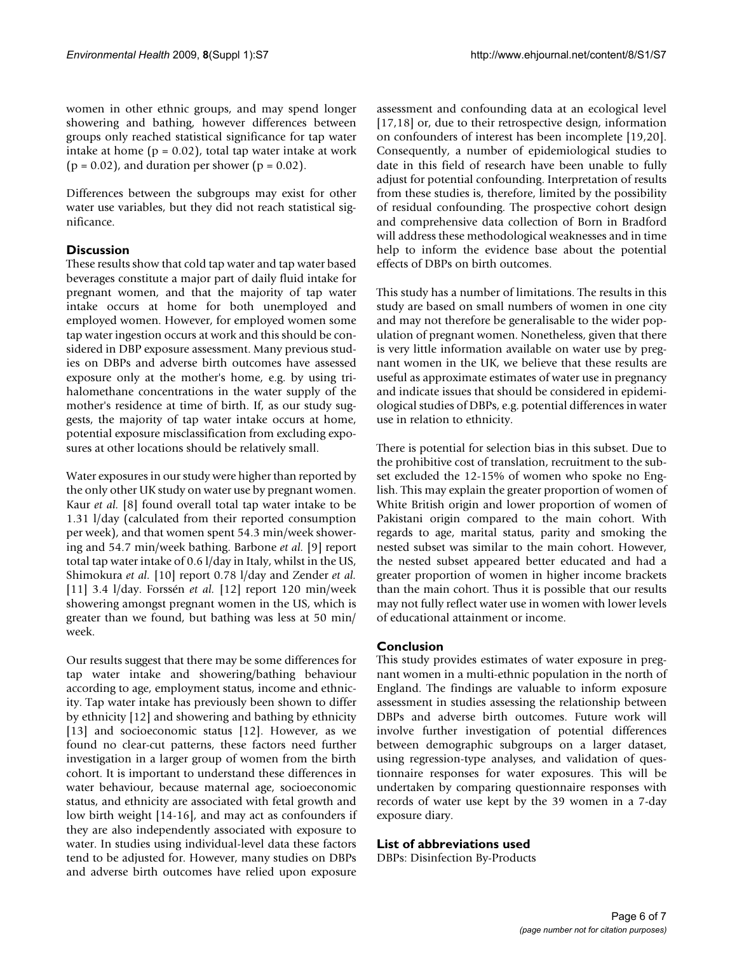women in other ethnic groups, and may spend longer showering and bathing, however differences between groups only reached statistical significance for tap water intake at home  $(p = 0.02)$ , total tap water intake at work  $(p = 0.02)$ , and duration per shower  $(p = 0.02)$ .

Differences between the subgroups may exist for other water use variables, but they did not reach statistical significance.

## **Discussion**

These results show that cold tap water and tap water based beverages constitute a major part of daily fluid intake for pregnant women, and that the majority of tap water intake occurs at home for both unemployed and employed women. However, for employed women some tap water ingestion occurs at work and this should be considered in DBP exposure assessment. Many previous studies on DBPs and adverse birth outcomes have assessed exposure only at the mother's home, e.g. by using trihalomethane concentrations in the water supply of the mother's residence at time of birth. If, as our study suggests, the majority of tap water intake occurs at home, potential exposure misclassification from excluding exposures at other locations should be relatively small.

Water exposures in our study were higher than reported by the only other UK study on water use by pregnant women. Kaur *et al.* [8] found overall total tap water intake to be 1.31 l/day (calculated from their reported consumption per week), and that women spent 54.3 min/week showering and 54.7 min/week bathing. Barbone *et al.* [9] report total tap water intake of 0.6 l/day in Italy, whilst in the US, Shimokura *et al.* [10] report 0.78 l/day and Zender *et al.* [11] 3.4 l/day. Forssén *et al.* [12] report 120 min/week showering amongst pregnant women in the US, which is greater than we found, but bathing was less at 50 min/ week.

Our results suggest that there may be some differences for tap water intake and showering/bathing behaviour according to age, employment status, income and ethnicity. Tap water intake has previously been shown to differ by ethnicity [12] and showering and bathing by ethnicity [13] and socioeconomic status [12]. However, as we found no clear-cut patterns, these factors need further investigation in a larger group of women from the birth cohort. It is important to understand these differences in water behaviour, because maternal age, socioeconomic status, and ethnicity are associated with fetal growth and low birth weight [14-16], and may act as confounders if they are also independently associated with exposure to water. In studies using individual-level data these factors tend to be adjusted for. However, many studies on DBPs and adverse birth outcomes have relied upon exposure assessment and confounding data at an ecological level [17,18] or, due to their retrospective design, information on confounders of interest has been incomplete [19,20]. Consequently, a number of epidemiological studies to date in this field of research have been unable to fully adjust for potential confounding. Interpretation of results from these studies is, therefore, limited by the possibility of residual confounding. The prospective cohort design and comprehensive data collection of Born in Bradford will address these methodological weaknesses and in time help to inform the evidence base about the potential effects of DBPs on birth outcomes.

This study has a number of limitations. The results in this study are based on small numbers of women in one city and may not therefore be generalisable to the wider population of pregnant women. Nonetheless, given that there is very little information available on water use by pregnant women in the UK, we believe that these results are useful as approximate estimates of water use in pregnancy and indicate issues that should be considered in epidemiological studies of DBPs, e.g. potential differences in water use in relation to ethnicity.

There is potential for selection bias in this subset. Due to the prohibitive cost of translation, recruitment to the subset excluded the 12-15% of women who spoke no English. This may explain the greater proportion of women of White British origin and lower proportion of women of Pakistani origin compared to the main cohort. With regards to age, marital status, parity and smoking the nested subset was similar to the main cohort. However, the nested subset appeared better educated and had a greater proportion of women in higher income brackets than the main cohort. Thus it is possible that our results may not fully reflect water use in women with lower levels of educational attainment or income.

#### **Conclusion**

This study provides estimates of water exposure in pregnant women in a multi-ethnic population in the north of England. The findings are valuable to inform exposure assessment in studies assessing the relationship between DBPs and adverse birth outcomes. Future work will involve further investigation of potential differences between demographic subgroups on a larger dataset, using regression-type analyses, and validation of questionnaire responses for water exposures. This will be undertaken by comparing questionnaire responses with records of water use kept by the 39 women in a 7-day exposure diary.

#### **List of abbreviations used**

DBPs: Disinfection By-Products